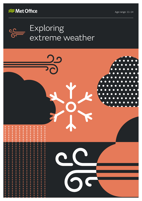



## Exploring extreme weather

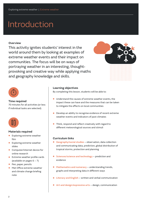# Introduction

### **Overview**

This activity ignites students' interest in the world around them by looking at examples of extreme weather events and their impact on communities. The focus will be on ways of portraying weather in an interesting, thoughtprovoking and creative way while applying maths and geography knowledge and skills.





#### **Time required**

70 minutes for all activities (or less if individual tasks are selected)



### **Materials required**

- **•** Exploring extreme weather film
- **•** Exploring extreme weather slides
- **•** Computer/internet device for online research
- **•** Extreme weather profile cards (available on pages  $6 - 7$ )
- **•** Pen, paper, pencils
- **•** Met Office extreme weather and climate change briefing note

#### **Learning objectives**

By completing this lesson, students will be able to:

- **•** Understand the causes of extreme weather events, the impact these can have and the measures that can be taken to mitigate the effects on local communities
- **•** Develop an ability to recognise evidence of recent extreme weather events and indicators of past climates
- **•** Think, respond and reflect creatively with regard to different meteorological sources and stimuli

#### **Curriculum links**

- **• Geography/social studies** observation, data collection and communicating data, prediction, global distribution of tropical storms, protection and planning
- **• Sciences/science and technology** prediction and evidence
- **• Mathematics and numeracy** understanding trends, graphs and interpreting data in different ways
- **• Literacy and English** written and verbal communication
- **• Art and design/expressive arts** design, communication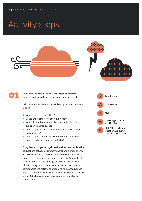# Activity steps



01

To kick off the lesson, introduce the topic of extreme weather, and show the extreme weather supporting film.

Ask the students to discuss the following prompt questions in pairs:

- **•** What is 'extreme weather'?
- **•** What are examples of extreme weather?
- **•** What do you know about the science behind these types of weather events?
- **•** What impacts can extreme weather events have on communities?
- **•** What impacts would we expect climate change to have on extreme weather and why?

Bring the class together again to share ideas and explain the connections between extreme weather and climate change. In a warmer world, many types of extreme weather are expected to increase in frequency or severity. Scientists all over the world are researching the connections between climate change and extreme weather to help individuals, communities and nations to prepare for the consequences and mitigate future impacts. More information can be found in the Met Office extreme weather and climate change briefing note.

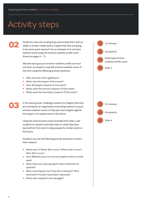## Activity steps

02

03

Divide the class into small groups and provide them with an tablet or similar mobile device. Explain that they are going to do some quick research into an example of an extreme weather event using the extreme weather profile cards (found on pages  $6 - 7$ ).

Allocate each group an extreme weather profile card and ask them to research a real-life extreme weather event of this kind, using the following prompt questions:

- **•** Why was the event significant?
- **•** What was the impact of the event?
- **•** How did people respond to the event?
- **•** What were the primary impacts of the event?
- **•** What were the secondary impacts of the event?

In the same groups, challenge students to imagine that they are working for an organisation overseeing research on past extreme weather events to help plan and mitigate against the impacts of a repeat event in the future.

Using the same extreme event example from Step 2, ask students to research and take notes on what they have learned from this event to help prepare for similar events in the future.

Students can use the following prompt questions to direct their research:

- **•** What was it? When did it occur? Where did it occur? Why did it occur?
- **•** How different was it to normal weather events in that area?
- **•** Were there any warning signs? How could they be spotted?
- **•** Was a warning put out? How far in advance? Who received it? Could it have been improved?
- **•** What risks needed to be managed?

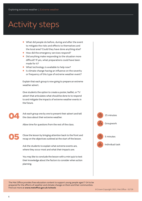# Activity steps

- **•** What did people do before, during and after the event to mitigate the risks and effects to themselves and the local area? Could they have done anything else?
- How did the emergency services respond?<br>● Did anything make responding to the situa
- **•** Did anything make responding to the situation more difficult? If yes, what preparations could have been made for it?
- **•** What technology is available to help now?
- **•** Is climate change having an influence on the severity or frequency of this type of extreme weather event?

Explain that each group is now going to prepare an extreme weather advert.

Give students the option to create a poster, leaflet, or TV advert that articulates what should be done to to respond to and mitigate the impacts of extreme weather events in the future.

04

Ask each group one by one to present their advert and tell the class about their extreme weather.

Allow time for questions from the rest of the class.

05

Close the lesson by bringing attention back to the front and recap on the objectives outlined at the start of the lesson.

Ask the students to explain what extreme events are, where they occur most and what their impacts are.

You may like to conclude the lesson with a mini quiz to test their knowledge about the factors to consider when action planning.



Individual task

The Met Office provides free education content to support young people aged 7-14 to be prepared for the effects of weather and climate change on them and their communities. Find out more at **www.metoffice.gov.uk/schools**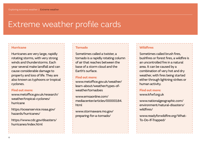## Extreme weather profile cards

## Hurricane

Hurricanes are very large, rapidly rotating storms, with very strong winds and thunderstorms. Each year several make landfall and can cause considerable damage to property and loss of life. They are also known as typhoons or tropical cyclones.

## Find out more:

[www.metoffice.gov.uk/research/](https://www.metoffice.gov.uk/research/weather/tropical-cyclones/hurricane) [weather/tropical-cyclones/](https://www.metoffice.gov.uk/research/weather/tropical-cyclones/hurricane) [hurricane](https://www.metoffice.gov.uk/research/weather/tropical-cyclones/hurricane)

https://oceanservice.noaa.gov/ hazards/hurricanes/

https://www.cdc.gov/disasters/ hurricanes/index.html

#### Tornado

Sometimes called a twister, a tornado is a rapidly rotating column of air that reaches between the base of a storm cloud and the Earth's surface.

## Find out more:

[www.metoffice.gov.uk/weather/](http://metoffice.gov.uk/weather/learn-about/weather/types-of-weather/tornadoes) [learn-about/weather/types-of](http://metoffice.gov.uk/weather/learn-about/weather/types-of-weather/tornadoes)[weather/tornadoes](http://metoffice.gov.uk/weather/learn-about/weather/types-of-weather/tornadoes)

[www.emsaonline.com/](https://emsaonline.com/mediacenter/articles/00000184.html) [mediacenter/articles/00000184.](https://emsaonline.com/mediacenter/articles/00000184.html) [html](https://emsaonline.com/mediacenter/articles/00000184.html)

www.[stormaware.mo.gov/](https://stormaware.mo.gov/preparing-for-a-tornado/) [preparing-for-a-tornado/](https://stormaware.mo.gov/preparing-for-a-tornado/)

### **Wildfires**

Sometimes called brush fires, bushfires or forest fires, a wildfire is an uncontrolled fire in a natural area. It can be caused by a combination of very hot and dry weather, with fires being started either through lightning strikes or human activity.

## Find out more:

[www.kfwf.org.uk](http://kfwf.org.uk/)

[www.nationalgeographic.com/](https://www.nationalgeographic.com/environment/natural-disasters/wildfires/) [environment/natural-disasters/](https://www.nationalgeographic.com/environment/natural-disasters/wildfires/) [wildfires/](https://www.nationalgeographic.com/environment/natural-disasters/wildfires/)

[www.readyforwildfire.org/What-](http://www.readyforwildfire.org/What-To-Do-If-Trapped/)[To-Do-If-Trapped/](http://www.readyforwildfire.org/What-To-Do-If-Trapped/)